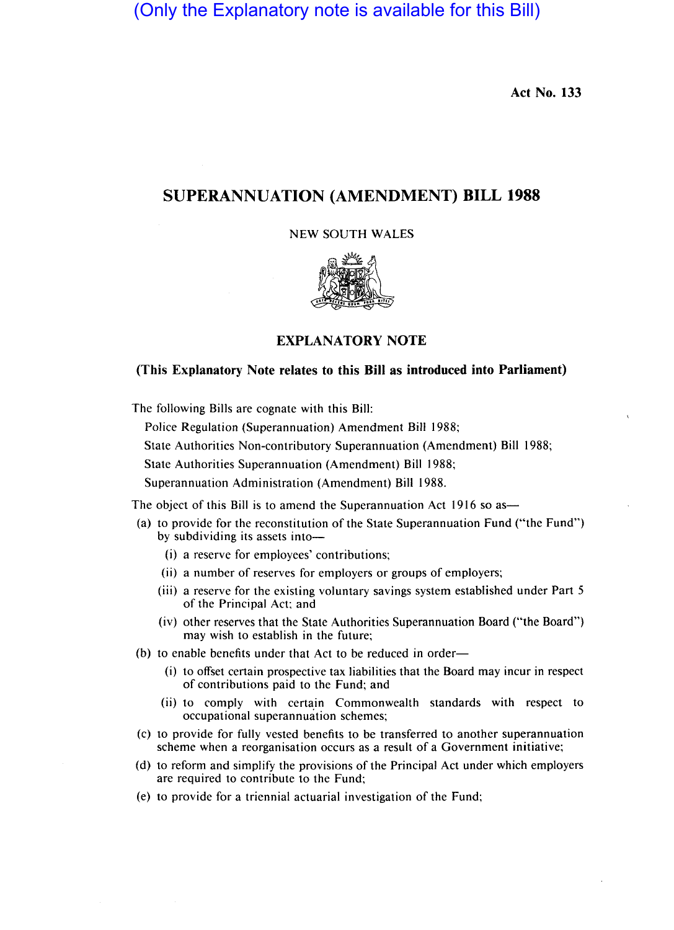(Only the Explanatory note is available for this Bill)

**Act No. 133** 

# **SUPERANNUATION (AMENDMENT) BILL 1988**

### NEW SOUTH WALES



## **EXPLANATORY NOTE**

## **(This Explanatory Note relates to this Bill as introduced into Parliament)**

The following Bills are cognate with this Bill:

Police Regulation (Superannuation) Amendment Bill 1988;

State Authorities Non-contributory Superannuation (Amendment) Bill 1988;

State Authorities Superannuation (Amendment) Bill 1988;

Superannuation Administration (Amendment) Bill 1988.

The object of this Bill is to amend the Superannuation Act 1916 so as-

- (a) to provide for the reconstitution of the State Superannuation Fund ("the Fund") by subdividing its assets into-
	- (i) a reserve for employees' contributions;
	- (ii) a number of reserves for employers or groups of employers;
	- (iii) a reserve for the existing voluntary savings system established under Part 5 of the Principal Act; and
	- (iv) other reserves that the State Authorities Superannuation Board ("the Board") may wish to establish in the future;

(b) to enable benefits under that Act to be reduced in order-

- (i) to offset certain prospective tax liabilities that the Board may incur in respect of contributions paid to the Fund; and
- (ii) to comply with certain Commonwealth standards with respect to occupational superannuation schemes;
- (c) to provide for fully vested benefits to be transferred to another superannuation scheme when a reorganisation occurs as a result of a Government initiative;
- (d) to reform and simplify the provisions of the Principal Act under which employers are required to contribute to the Fund;
- (e) to provide for a triennial actuarial investigation of the Fund;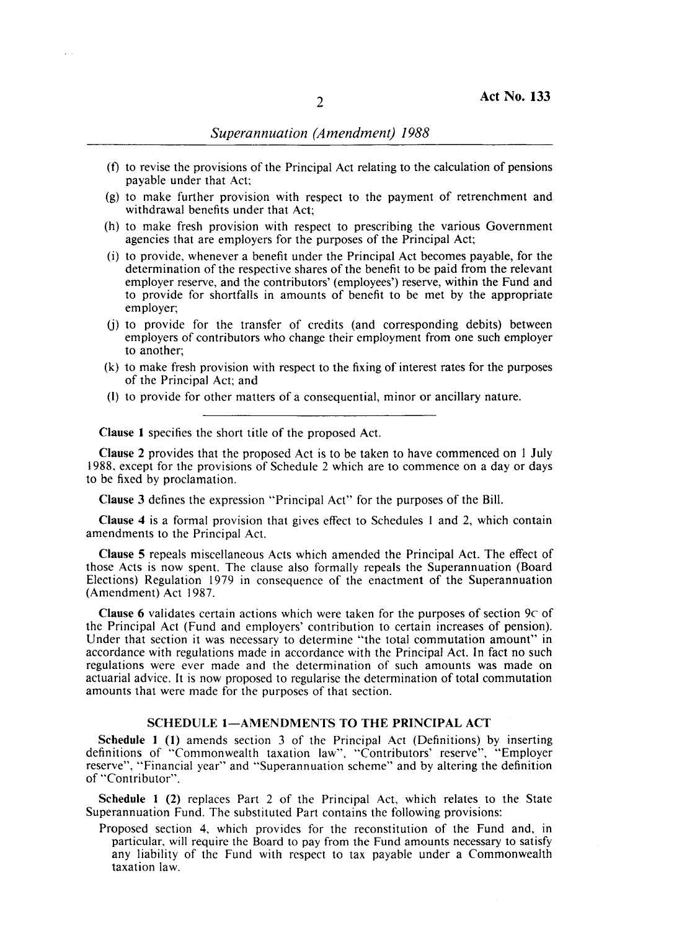- (f) to revise the provisions of the Principal Act relating to the calculation of pensions payable under that Act;
- (g) to make further provision with respect to the payment of retrenchment and withdrawal benefits under that Act;
- (h) to make fresh provision with respect to prescribing the various Government agencies that are employers for the purposes of the Principal Act;
- (i) to provide, whenever a benefit under the Principal Act becomes payable, for the determination of the respective shares of the benefit to be paid from the relevant employer reserve, and the contributors' (employees') reserve, within the Fund and to provide for shortfalls in amounts of benefit to be met by the appropriate employer;
- U) to provide for the transfer of credits (and corresponding debits) between employers of contributors who change their employment from one such employer to another;
- (k) to make fresh provision with respect to the fixing of interest rates for the purposes of the Principal Act; and
- (I) to provide for other matters of a consequential, minor or ancillary nature.

Clause I specifies the short title of the proposed Act.

Clause 2 provides that the proposed Act is to be taken to have commenced on 1 July 1988. except for the provisions of Schedule 2 which are to commence on a day or days to be fixed by proclamation.

Clause 3 defines the expression "Principal Act" for the purposes of the Bill.

Clause 4 is a formal provision that gives effect to Schedules 1 and 2, which contain amendments to the Principal Act.

Clause 5 repeals miscellaneous Acts which amended the Principal Act. The effect of those Acts is now spent. The clause also formally repeals the Superannuation (Board Elections) Regulation 1979 in consequence of the enactment of the Superannuation (Amendment) Act 1987.

**Clause 6** validates certain actions which were taken for the purposes of section  $9c$  of the Principal Act (Fund and employers' contribution to certain increases of pension). Under that section it was necessary to determine "the total commutation amount" in accordance with regulations made in accordance with the Principal Act. In fact no such regulations were ever made and the determination of such amounts was made on actuarial advice. It is now proposed to regularise the determination of total commutation amounts that were made for the purposes of that section.

#### SCHEDULE 1-AMENDMENTS TO THE PRINCIPAL ACT

Schedule I (I) amends section 3 of the Principal Act (Definitions) by inserting definitions of "Commonwealth taxation law", "Contributors' reserve", "Employer reserve", "Financial year" and "Superannuation scheme" and by altering the definition of "Contributor".

Schedule I (2) replaces Part 2 of the Principal Act, which relates to the State Superannuation Fund. The substituted Part contains the following provisions:

Proposed section 4, which provides for the reconstitution of the Fund and, in particular, will require the Board to pay from the Fund amounts necessary to satisfy any liability of the Fund with respect to tax payable under a Commonwealth taxation law.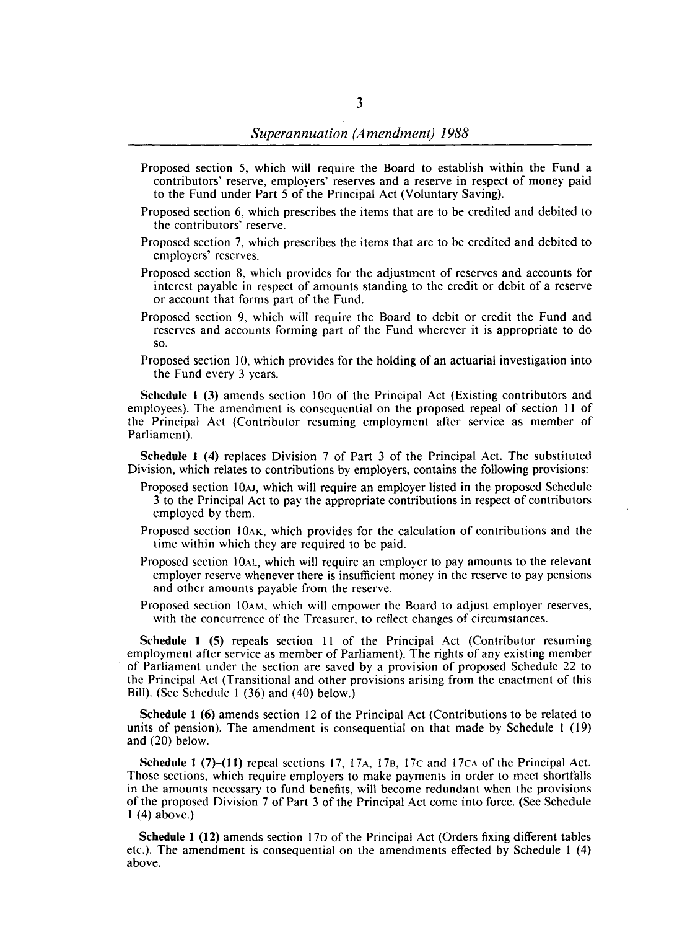- Proposed section 5, which will require the Board to establish within the Fund a contributors' reserve, employers' reserves and a reserve in respect of money paid to the Fund under Part 5 of the Principal Act (Voluntary Saving).
- Proposed section 6, which prescribes the items that are to be credited and debited to the contributors' reserve.
- Proposed section 7, which prescribes the items that are to be credited and debited to employers' reserves.
- Proposed section 8, which provides for the adjustment of reserves and accounts for interest payable in respect of amounts standing to the credit or debit of a reserve or account that forms part of the Fund.
- Proposed section 9, which will require the Board to debit or credit the Fund and reserves and accounts forming part of the Fund wherever it is appropriate to do so.
- Proposed section 10, which provides for the holding of an actuarial investigation into the Fund every 3 years.

Schedule 1 (3) amends section 100 of the Principal Act (Existing contributors and employees). The amendment is consequential on the proposed repeal of section I1 of the Principal Act (Contributor resuming employment after service as member of Parliament).

Schedule 1 (4) replaces Division 7 of Part 3 of the Principal Act. The substituted Division, which relates to contributions by employers, contains the following provisions:

- Proposed section 10AJ, which will require an employer listed in the proposed Schedule 3 to the Principal Act to pay the appropriate contributions in respect of contributors employed by them.
- Proposed section 10AK, which provides for the calculation of contributions and the time within which they are required to be paid.
- Proposed section 10AL, which will require an employer to pay amounts to the relevant employer reserve whenever there is insufficient money in the reserve to pay pensions and other amounts payable from the reserve.
- Proposed section 10AM, which will empower the Board to adjust employer reserves, with the concurrence of the Treasurer, to reflect changes of circumstances.

Schedule 1 (5) repeals section 11 of the Principal Act (Contributor resuming employment after service as member of Parliament). The rights of any existing member of Parliament under the section are saved by a provision of proposed Schedule 22 to the Principal Act (Transitional and other provisions arising from the enactment of this Bill). (See Schedule I (36) and (40) below.)

Schedule 1 (6) amends section 12 of the Principal Act (Contributions to be related to units of pension). The amendment is consequential on that made by Schedule I (19) and (20) below.

Schedule 1 (7)–(11) repeal sections 17, 17 $\AA$ , 17 $\AA$ , 17 $\AA$  and 17 $\AA$  of the Principal Act. Those sections, which require employers to make payments in order to meet shortfalls in the amounts necessary to fund benefits, will become redundant when the provisions of the proposed Division 7 of Part 3 of the Principal Act come into force. (See Schedule I (4) above.)

Schedule 1 (12) amends section 170 of the Principal Act (Orders fixing different tables etc.). The amendment is consequential on the amendments effected by Schedule I (4) above.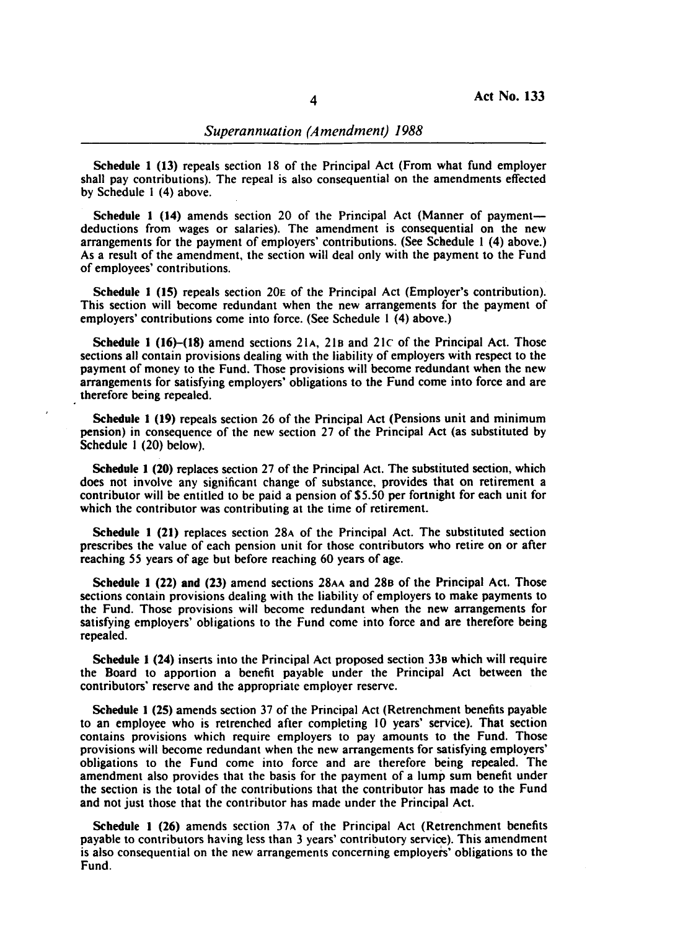Schedule 1 (13) repeals section 18 of the Principal Act (From what fund employer shall pay contributions). The repeal is also consequential on the amendments effected by Schedule I (4) above.

Schedule 1 (14) amends section 20 of the Principal Act (Manner of paymentdeductions from wages or salaries). The amendment is consequential on the new arrangements for the payment of employers' contributions. (See Schedule I (4) above.) As a result of the amendment, the section will deal only with the payment to the Fund of employees' contributions.

Schedule 1 (IS) repeals section 20E of the Principal Act (Employer's contribution). This section will become redundant when the new arrangements for the payment of employers' contributions come into force. (See Schedule I (4) above.)

Schedule 1 (16)-(18) amend sections 21 $A$ , 21 $B$  and 21 $C$  of the Principal Act. Those sections all contain provisions dealing with the liability of employers with respect to the payment of money to the Fund. Those provisions will become redundant when the new arrangements for satisfying employers' obligations to the Fund come into force and are therefore being repealed.

Schedule 1 (19) repeals section 26 of the Principal Act (Pensions unit and minimum pension) in consequence of the new section 27 of the Principal Act (as substituted by Schedule I (20) below).

Schedule 1 (20) replaces section 27 of the Principal Act. The substituted section, which does not involve any significant change of substance, provides that on retirement a contributor will be entitled to be paid a pension of \$5.50 per fortnight for each unit for which the contributor was contributing at the time of retirement.

Schedule 1 (21) replaces section 28A of the Principal Act. The substituted section prescribes the value of each pension unit for those contributors who retire on or after reaching 55 years of age but before reaching 60 years of age.

Schedule 1 (22) and (23) amend sections 28AA and 288 of the Principal Act. Those sections contain provisions dealing with the liability of employers to make payments to the Fund. Those provisions will become redundant when the new arrangements for satisfying employers' obligations to the Fund come into force and are therefore being repealed.

Schedule 1 (24) inserts into the Principal Act proposed section 338 which will require the Board to apportion a benefit payable under the Principal Act between the contributors' reserve and the appropriate employer reserve.

Schedule 1 (2S) amends section 37 of the Principal Act (Retrenchment benefits payable to an employee who is retrenched after completing 10 years' service). That section contains provisions which require employers to pay amounts to the Fund. Those provisions will become redundant when the new arrangements for satisfying employers' obligations to the Fund come into force and are therefore being repealed. The amendment also provides that the basis for the payment of a lump sum benefit under the section is the total of the contributions that the contributor has made to the Fund and not just those that the contributor has made under the Principal Act.

Schedule 1 (26) amends section 37A of the Principal Act (Retrenchment benefits payable to contributors having less than 3 years' contributory service). This amendment is also consequential on the new arrangements concerning employers' obligations to the Fund.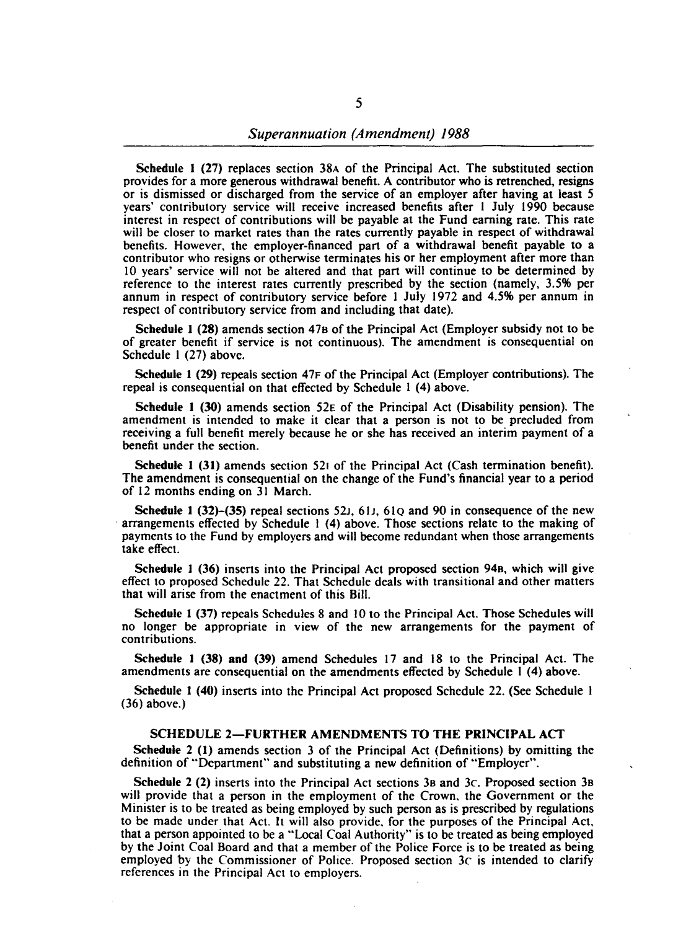Schedule 1 (27) replaces section 38A of the Principal Act. The substituted section provides for a more generous withdrawal benefit. A contributor who is retrenched, resigns or is dismissed or discharged from the service of an employer after having at least 5 years' contributory service will receive increased benefits after 1 July 1990 because interest in respect of contributions will be payable at the Fund earning rate. This rate will be closer to market rates than the rates currently payable in respect of withdrawal benefits. However, the employer-financed part of a withdrawal benefit payable to a contributor who resigns or otherwise terminates his or her employment after more than 10 years' service will not be altered and that part will continue to be determined by reference to the interest rates currently prescribed by the section (namely, 3.5% per annum in respect of contributory service before I July 1972 and 4.5% per annum in respect of contributory service from and including that date).

Schedule 1 (28) amends section 47s of the Principal Act (Employer subsidy not to be of greater benefit if service is not continuous). The amendment is consequential on Schedule 1 (27) above.

Schedule 1 (29) repeals section 47F of the Principal Act (Employer contributions). The repeal is consequential on that effected by Schedule I (4) above.

Schedule 1 (30) amends section 52E of the Principal Act (Disability pension). The amendment is intended to make it clear that a person is not to be precluded from receiving a full benefit merely because he or she has received an interim payment of a benefit under the section.

Schedule 1 (31) amends section 521 of the Principal Act (Cash termination benefit). The amendment is consequential on the change of the Fund's financial year to a period of 12 months ending on 31 March.

Schedule 1 (32)–(35) repeal sections 52 $\mu$ , 61 $\mu$ , 61 $\alpha$  and 90 in consequence of the new . arrangements effected by Schedule 1 (4) above. Those sections relate to the making of payments to the Fund by employers and will become redundant when those arrangements take effect.

Schedule 1 (36) inserts into the Principal Act proposed section 94s, which will give effect to proposed Schedule 22. That Schedule deals with transitional and other matters that will arise from the enactment of this Bill.

Schedule 1 (37) repeals Schedules 8 and 10 to the Principal Act. Those Schedules will no longer be appropriate in view of the new arrangements for the payment of contributions.

Schedule 1 (38) and (39) amend Schedules 17 and 18 to the Principal Act. The amendments are consequential on the amendments effected by Schedule I (4) above.

Schedule 1 (40) inserts into the Principal Act proposed Schedule 22. (See Schedule I (36) above.)

#### SCHEDULE 2-FURTHER AMENDMENTS TO THE PRINCIPAL ACT

Schedule 2 (1) amends section 3 of the Principal Act (Definitions) by omitting the definition of "Department" and substituting a new definition of "Employer".

Schedule 2 (2) inserts into the Principal Act sections 3B and  $3c$ . Proposed section  $3B$ will provide that a person in the employment of the Crown. the Government or the Minister is to be treated as being employed by such person as is prescribed by regulations to be made under that Act. It will also provide. for the purposes of the Principal Act, that a person appointed to be a "Local Coal Authority" is to be treated as being employed by the Joint Coal Board and that a member of the Police Force is to be treated as being employed by the Commissioner of Police. Proposed section  $3c$  is intended to clarify references in the Principal Act to employers.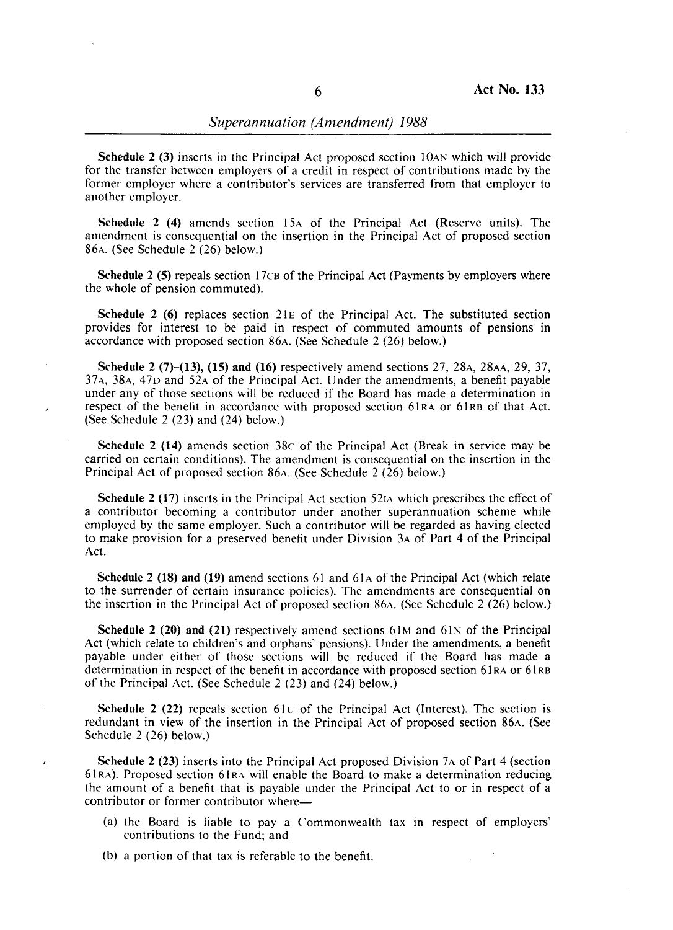Schedule 2 (3) inserts in the Principal Act proposed section lOAN which will provide for the transfer between employers of a credit in respect of contributions made by the former employer where a contributor's services are transferred from that employer to another employer.

Schedule 2 (4) amends section 15A of the Principal Act (Reserve units). The amendment is consequential on the insertion in the Principal Act of proposed section 86A. (See Schedule 2 (26) below.)

Schedule 2 (5) repeals section 17CB of the Principal Act (Payments by employers where the whole of pension commuted).

Schedule 2 (6) replaces section 21 $E$  of the Principal Act. The substituted section provides for interest to be paid in respect of commuted amounts of pensions in accordance with proposed section 86A. (See Schedule 2 (26) below.)

Schedule 2 (7)-(13), (15) and (16) respectively amend sections 27, 28A, 28AA, 29, 37, 37A, 38A, 47D and 52A of the Principal Act. Under the amendments, a benefit payable under any of those sections will be reduced if the Board has made a determination in respect of the benefit in accordance with proposed section 61RA or 61RB of that Act. (See Schedule 2 (23) and (24) below.)

Schedule 2 (14) amends section 38c of the Principal Act (Break in service may be carried on certain conditions). The amendment is consequential on the insertion in the Principal Act of proposed section 86A. (See Schedule 2 (26) below.)

Schedule 2 (17) inserts in the Principal Act section 521A which prescribes the effect of a contributor becoming a contributor under another superannuation scheme while employed by the same employer. Such a contributor will be regarded as having elected to make provision for a preserved benefit under Division 3A of Part 4 of the Principal Act.

Schedule 2 (18) and (19) amend sections  $61$  and  $61A$  of the Principal Act (which relate to the surrender of certain insurance policies). The amendments are consequential on the insertion in the Principal Act of proposed section 86A. (See Schedule 2 (26) below.)

Schedule 2 (20) and (21) respectively amend sections  $61M$  and  $61N$  of the Principal Act (which relate to children's and orphans' pensions). Under the amendments, a benefit payable under either of those sections will be reduced if the Board has made a determination in respect of the benefit in accordance with proposed section 61RA or 61RB of the Principal Act. (See Schedule 2 (23) and (24) below.)

Schedule 2 (22) repeals section  $61U$  of the Principal Act (Interest). The section is redundant in view of the insertion in the Principal Act of proposed section 86A. (See Schedule 2 (26) below.)

Schedule 2 (23) inserts into the Principal Act proposed Division 7A of Part 4 (section 61 RA). Proposed section 61 RA will enable the Board to make a determination reducing the amount of a benefit that is payable under the Principal Act to or in respect of a contributor or former contributor where-

- (a) the Board is liable to pay a Commonwealth tax in respect of employers' contributions to the Fund; and
- (b) a portion of that tax is referable to the benefit.

 $\overline{\phantom{a}}$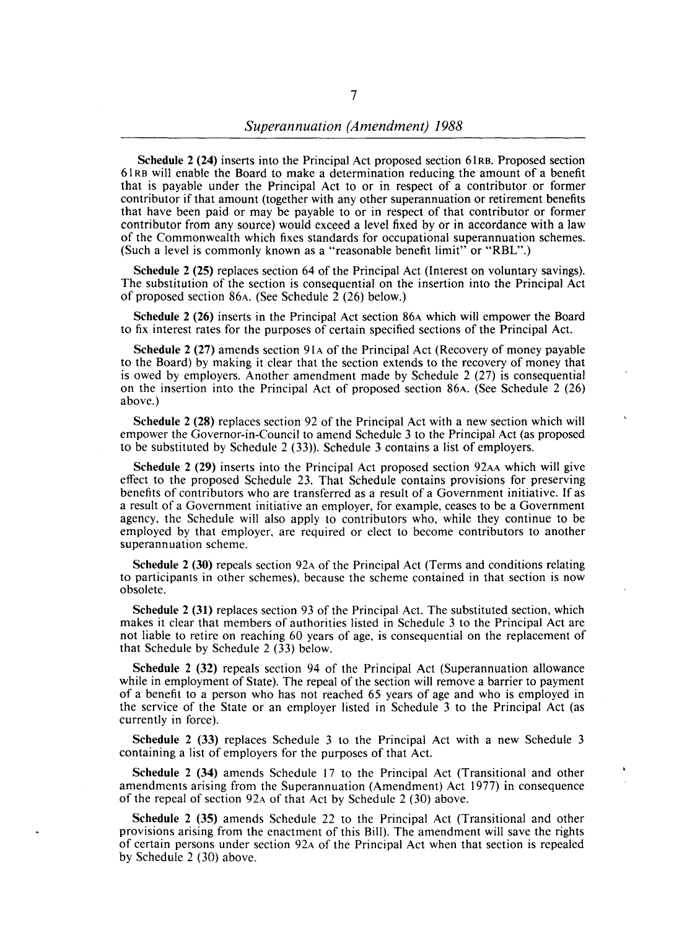Schedule 2 (24) inserts into the Principal Act proposed section 61RB. Proposed section 61 RB will enable the Board to make a determination reducing the amount of a benefit that is payable under the Principal Act to or in respect of a contributor or former contributor if that amount (together with any other superannuation or retirement benefits that have been paid or may be payable to or in respect of that contributor or former contributor from any source) would exceed a level fixed by or in accordance with a law of the Commonwealth which fixes standards for occupational superannuation schemes. (Such a level is commonly known as a "reasonable benefit limit" or "RBL".)

Schedule 2 (25) replaces section 64 of the Principal Act (Interest on voluntary savings). The substitution of the section is consequential on the insertion into the Principal Act of proposed section 86A. (See Schedule 2 (26) below.)

Schedule 2 (26) inserts in the Principal Act section 86A which will empower the Board to fix interest rates for the purposes of certain specified sections of the Principal Act.

Schedule 2 (27) amends section 91A of the Principal Act (Recovery of money payable to the Board) by making it clear that the section extends to the recovery of money that is owed by employers. Another amendment made by Schedule 2 (27) is consequential on the insertion into the Principal Act of proposed section 86A. (See Schedule 2 (26) above.)

Schedule 2 (28) replaces section 92 of the Principal Act with a new section which will empower the Governor-in-Council to amend Schedule 3 to the Principal Act (as proposed to be substituted by Schedule 2 (33». Schedule 3 contains a list of employers.

Schedule 2 (29) inserts into the Principal Act proposed section 92AA which will give effect to the proposed Schedule 23. That Schedule contains provisions for preserving benefits of contributors who are transferred as a result of a Government initiative. If as a result of a Government initiative an employer, for example, ceases to be a Government agency, the Schedule will also apply to contributors who, while they continue to be employed by that employer, are required or elect to become contributors to another superannuation scheme.

Schedule 2 (30) repeals section 92A of the Principal Act (Terms and conditions relating to participants in other schemes), because the scheme contained in that section is now obsolete.

Schedule 2 (31) replaces section 93 of the Principal Act. The substituted section, which makes it clear that members of authorities listed in Schedule 3 to the Principal Act are not liable to retire on reaching 60 years of age, is consequential on the replacement of that Schedule by Schedule 2 (33) below.

Schedule 2 (32) repeals section 94 of the Principal Act (Superannuation allowance while in employment of State). The repeal of the section will remove a barrier to payment of a benefit to a person who has not reached 65 years of age and who is employed in the service of the State or an employer listed in Schedule 3 to the Principal Act (as currently in force).

Schedule 2 (33) replaces Schedule 3 to the Principal Act with a new Schedule 3 containing a list of employers for the purposes of that Act.

Schedule 2 (34) amends Schedule 17 to the Principal Act (Transitional and other amendments arising from the Superannuation (Amendment) Act 1977) in consequence of the repeal of section 92A of that Act by Schedule 2 (30) above.

Schedule 2 (35) amends Schedule 22 to the Principal Act (Transitional and other provisions arising from the enactment of this Bill). The amendment will save the rights of certain persons under section 92A of the Principal Act when that section is repealed by Schedule 2 (30) above.